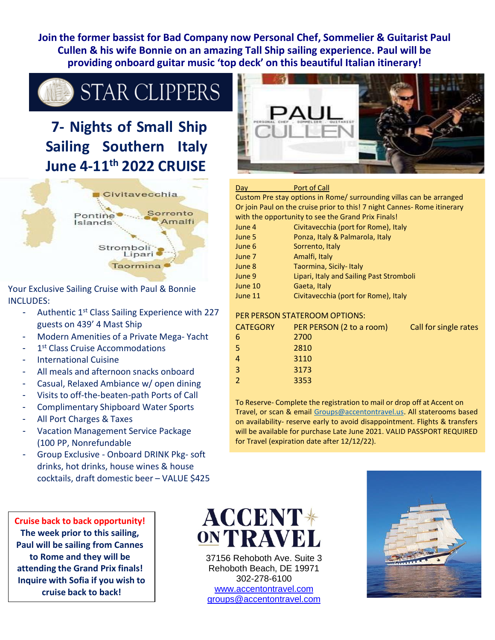**Join the former bassist for Bad Company now Personal Chef, Sommelier & Guitarist Paul Cullen & his wife Bonnie on an amazing Tall Ship sailing experience. Paul will be providing onboard guitar music 'top deck' on this beautiful Italian itinerary!**

**STAR CLIPPERS** 

# **7- Nights of Small Ship Sailing Southern Italy June 4-11th 2022 CRUISE**



Your Exclusive Sailing Cruise with Paul & Bonnie INCLUDES:

- Authentic  $1<sup>st</sup>$  Class Sailing Experience with 227 guests on 439' 4 Mast Ship
- Modern Amenities of a Private Mega- Yacht
- 1<sup>st</sup> Class Cruise Accommodations
- International Cuisine
- All meals and afternoon snacks onboard
- Casual, Relaxed Ambiance w/ open dining
- Visits to off-the-beaten-path Ports of Call
- Complimentary Shipboard Water Sports
- All Port Charges & Taxes
- Vacation Management Service Package (100 PP, Nonrefundable
- Group Exclusive Onboard DRINK Pkg- soft drinks, hot drinks, house wines & house cocktails, draft domestic beer – VALUE \$425

**Cruise back to back opportunity! The week prior to this sailing, Paul will be sailing from Cannes to Rome and they will be attending the Grand Prix finals! Inquire with Sofia if you wish to cruise back to back!**

**ACCENT\*** ON TRAVEL

37156 Rehoboth Ave. Suite 3 Rehoboth Beach, DE 19971 302-278-6100 [www.accentontravel.com](http://www.accentontravel.com/) [groups@accentontravel.com](mailto:groups@accentontravel.com)



#### Day **Port of Call**

Custom Pre stay options in Rome/ surrounding villas can be arranged Or join Paul on the cruise prior to this! 7 night Cannes- Rome itinerary with the opportunity to see the Grand Prix Finals!

| June 4  | Civitavecchia (port for Rome), Italy     |
|---------|------------------------------------------|
| June 5  | Ponza, Italy & Palmarola, Italy          |
| June 6  | Sorrento, Italy                          |
| June 7  | Amalfi, Italy                            |
| June 8  | Taormina, Sicily-Italy                   |
| June 9  | Lipari, Italy and Sailing Past Stromboli |
| June 10 | Gaeta, Italy                             |
| June 11 | Civitavecchia (port for Rome), Italy     |

#### PER PERSON STATEROOM OPTIONS:

| <b>CATEGORY</b> | PER PERSON (2 to a room) | Call for single rates |
|-----------------|--------------------------|-----------------------|
| 6               | 2700                     |                       |
| 5               | 2810                     |                       |
|                 | 3110                     |                       |
| 3               | 3173                     |                       |
|                 | 3353                     |                       |

To Reserve- Complete the registration to mail or drop off at Accent on Travel, or scan & email [Groups@accentontravel.us. A](mailto:Groups@accentontravel.us)ll staterooms based on availability- reserve early to avoid disappointment. Flights & transfers will be available for purchase Late June 2021. VALID PASSPORT REQUIRED for Travel (expiration date after 12/12/22).

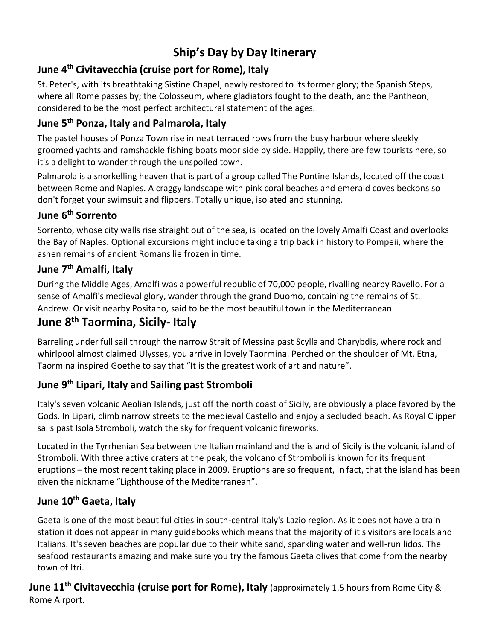## **Ship's Day by Day Itinerary**

## **June 4 th Civitavecchia (cruise port for Rome), Italy**

St. Peter's, with its breathtaking Sistine Chapel, newly restored to its former glory; the Spanish Steps, where all Rome passes by; the Colosseum, where gladiators fought to the death, and the Pantheon, considered to be the most perfect architectural statement of the ages.

#### **June 5 th Ponza, Italy and Palmarola, Italy**

The pastel houses of Ponza Town rise in neat terraced rows from the busy harbour where sleekly groomed yachts and ramshackle fishing boats moor side by side. Happily, there are few tourists here, so it's a delight to wander through the unspoiled town.

Palmarola is a snorkelling heaven that is part of a group called The Pontine Islands, located off the coast between Rome and Naples. A craggy landscape with pink coral beaches and emerald coves beckons so don't forget your swimsuit and flippers. Totally unique, isolated and stunning.

#### **June 6 th Sorrento**

Sorrento, whose city walls rise straight out of the sea, is located on the lovely Amalfi Coast and overlooks the Bay of Naples. Optional excursions might include taking a trip back in history to Pompeii, where the ashen remains of ancient Romans lie frozen in time.

#### **June 7 th Amalfi, Italy**

During the Middle Ages, Amalfi was a powerful republic of 70,000 people, rivalling nearby Ravello. For a sense of Amalfi's medieval glory, wander through the grand Duomo, containing the remains of St. Andrew. Or visit nearby Positano, said to be the most beautiful town in the Mediterranean.

## **June 8 th Taormina, Sicily- Italy**

Barreling under full sail through the narrow Strait of Messina past Scylla and Charybdis, where rock and whirlpool almost claimed Ulysses, you arrive in lovely Taormina. Perched on the shoulder of Mt. Etna, Taormina inspired Goethe to say that "It is the greatest work of art and nature".

### **June 9 th Lipari, Italy and Sailing past Stromboli**

Italy's seven volcanic Aeolian Islands, just off the north coast of Sicily, are obviously a place favored by the Gods. In Lipari, climb narrow streets to the medieval Castello and enjoy a secluded beach. As Royal Clipper sails past Isola Stromboli, watch the sky for frequent volcanic fireworks.

Located in the Tyrrhenian Sea between the Italian mainland and the island of Sicily is the volcanic island of Stromboli. With three active craters at the peak, the volcano of Stromboli is known for its frequent eruptions – the most recent taking place in 2009. Eruptions are so frequent, in fact, that the island has been given the nickname "Lighthouse of the Mediterranean".

## **June 10th Gaeta, Italy**

Gaeta is one of the most beautiful cities in south-central Italy's Lazio region. As it does not have a train station it does not appear in many guidebooks which means that the majority of it's visitors are locals and Italians. It's seven beaches are popular due to their white sand, sparkling water and well-run lidos. The seafood restaurants amazing and make sure you try the famous Gaeta olives that come from the nearby town of Itri.

**June 11th Civitavecchia (cruise port for Rome), Italy** (approximately 1.5 hours from Rome City & Rome Airport.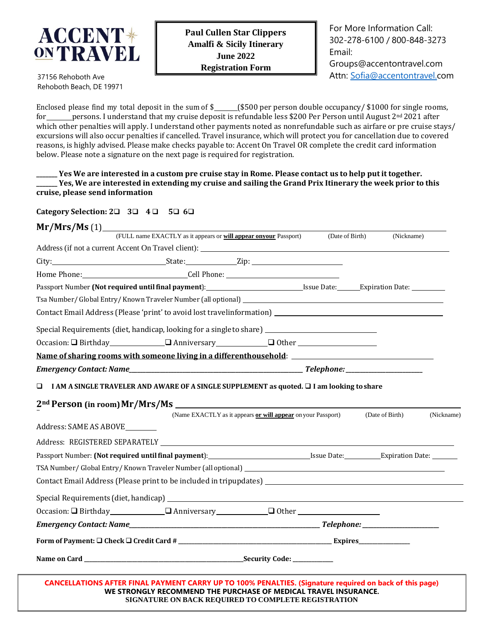

For More Information Call: 302-278-6100 / 800-848-3273 Email: [Groups@accentontravel.com](mailto:Groups@accentontravel.com) Attn: [Sofia@accentontravel.com](mailto:Sofia@accentontravel.com)

37156 Rehoboth Ave Rehoboth Beach, DE 19971

Enclosed please find my total deposit in the sum of  $\frac{2}{5}$  (\$500 per person double occupancy/ \$1000 for single rooms, for persons. I understand that my cruise deposit is refundable less \$200 Per Person until August  $2^{nd}$  2021 after which other penalties will apply. I understand other payments noted as nonrefundable such as airfare or pre cruise stays/ excursions will also occur penalties if cancelled. Travel insurance, which will protect you for cancellation due to covered reasons, is highly advised. Please make checks payable to: Accent On Travel OR complete the credit card information below. Please note a signature on the next page is required for registration.

\_Yes We are interested in a custom pre cruise stay in Rome. Please contact us to help put it together. Yes, We are interested in extending my cruise and sailing the Grand Prix Itinerary the week prior to this **cruise, please send information**

**Category Selection: 2**❑ **3**❑ **4** ❑ **5**❑ **6**❑

| Mr/Mrs/Ms(1)                   |                                                                                                                                                                                                                               |                                                              |                 |                               |  |
|--------------------------------|-------------------------------------------------------------------------------------------------------------------------------------------------------------------------------------------------------------------------------|--------------------------------------------------------------|-----------------|-------------------------------|--|
|                                | (FULL name EXACTLY as it appears or will appear onyour Passport)                                                                                                                                                              |                                                              | (Date of Birth) | (Nickname)                    |  |
|                                |                                                                                                                                                                                                                               |                                                              |                 |                               |  |
|                                | City: City: City: City: City: City: City: City: City: City: City: City: City: City: City: City: City: City: City: City: City: City: City: City: City: City: City: City: City: City: City: City: City: City: City: City: City: |                                                              |                 |                               |  |
|                                |                                                                                                                                                                                                                               |                                                              |                 |                               |  |
|                                | Passport Number (Not required until final payment): Subsettled User Material Case (Separation Date: 2002)                                                                                                                     |                                                              |                 |                               |  |
|                                |                                                                                                                                                                                                                               |                                                              |                 |                               |  |
|                                |                                                                                                                                                                                                                               |                                                              |                 |                               |  |
|                                | Special Requirements (diet, handicap, looking for a single to share) ______________________________                                                                                                                           |                                                              |                 |                               |  |
|                                | $Occasion: \Box Birthday$ $\Box$ Anniversary $\Box$ Other $\Box$                                                                                                                                                              |                                                              |                 |                               |  |
|                                | Name of sharing rooms with someone living in a differenthousehold: ______________                                                                                                                                             |                                                              |                 |                               |  |
|                                |                                                                                                                                                                                                                               |                                                              |                 |                               |  |
| O                              | I AM A SINGLE TRAVELER AND AWARE OF A SINGLE SUPPLEMENT as quoted. □ I am looking to share                                                                                                                                    |                                                              |                 |                               |  |
|                                |                                                                                                                                                                                                                               |                                                              |                 |                               |  |
|                                |                                                                                                                                                                                                                               | (Name EXACTLY as it appears or will appear on your Passport) |                 | (Date of Birth)<br>(Nickname) |  |
| Address: SAME AS ABOVE________ |                                                                                                                                                                                                                               |                                                              |                 |                               |  |
|                                |                                                                                                                                                                                                                               |                                                              |                 |                               |  |
|                                |                                                                                                                                                                                                                               |                                                              |                 |                               |  |
|                                |                                                                                                                                                                                                                               |                                                              |                 |                               |  |
|                                |                                                                                                                                                                                                                               |                                                              |                 |                               |  |
|                                |                                                                                                                                                                                                                               |                                                              |                 |                               |  |
|                                | Occasion: Q Birthday Q Anniversary Q Other                                                                                                                                                                                    |                                                              |                 |                               |  |
|                                |                                                                                                                                                                                                                               |                                                              |                 |                               |  |
|                                |                                                                                                                                                                                                                               |                                                              |                 |                               |  |
|                                |                                                                                                                                                                                                                               |                                                              |                 |                               |  |
|                                |                                                                                                                                                                                                                               |                                                              |                 |                               |  |
|                                | CANCELLATIONS AFTER FINAL PAYMENT CARRY UP TO 100% PENALTIES. (Signature required on back of this page)                                                                                                                       |                                                              |                 |                               |  |

**SIGNATURE ON BACK REQUIRED TO COMPLETE REGISTRATION**